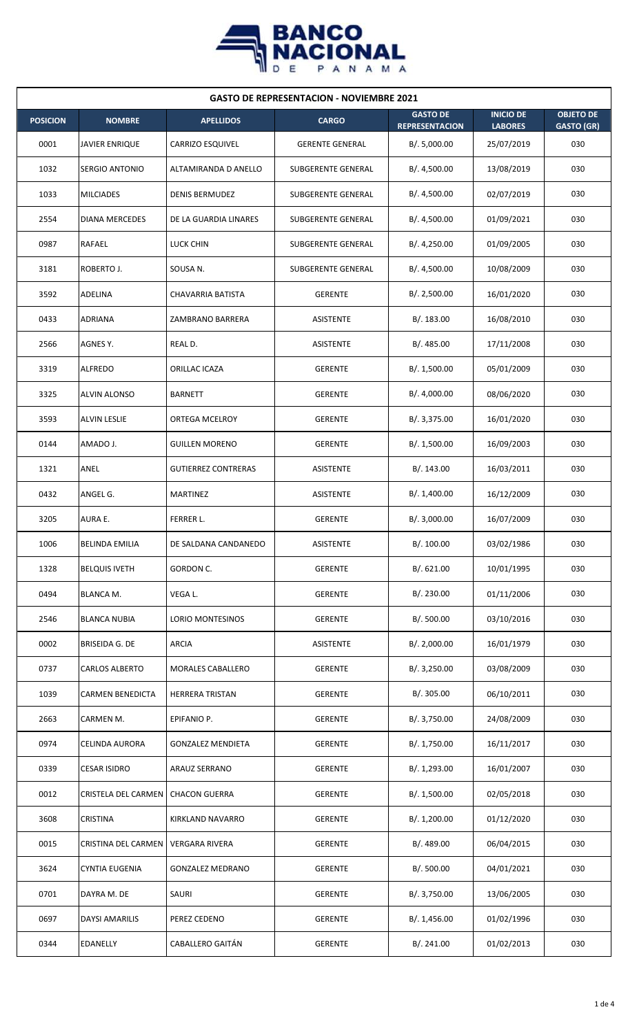

| <b>GASTO DE REPRESENTACION - NOVIEMBRE 2021</b> |                       |                            |                        |                                          |                                    |                                       |  |  |
|-------------------------------------------------|-----------------------|----------------------------|------------------------|------------------------------------------|------------------------------------|---------------------------------------|--|--|
| <b>POSICION</b>                                 | <b>NOMBRE</b>         | <b>APELLIDOS</b>           | <b>CARGO</b>           | <b>GASTO DE</b><br><b>REPRESENTACION</b> | <b>INICIO DE</b><br><b>LABORES</b> | <b>OBJETO DE</b><br><b>GASTO (GR)</b> |  |  |
| 0001                                            | <b>JAVIER ENRIQUE</b> | <b>CARRIZO ESQUIVEL</b>    | <b>GERENTE GENERAL</b> | B/. 5,000.00                             | 25/07/2019                         | 030                                   |  |  |
| 1032                                            | SERGIO ANTONIO        | ALTAMIRANDA D ANELLO       | SUBGERENTE GENERAL     | B/. 4,500.00                             | 13/08/2019                         | 030                                   |  |  |
| 1033                                            | <b>MILCIADES</b>      | <b>DENIS BERMUDEZ</b>      | SUBGERENTE GENERAL     | B/. 4,500.00                             | 02/07/2019                         | 030                                   |  |  |
| 2554                                            | <b>DIANA MERCEDES</b> | DE LA GUARDIA LINARES      | SUBGERENTE GENERAL     | B/.4,500.00                              | 01/09/2021                         | 030                                   |  |  |
| 0987                                            | RAFAEL                | LUCK CHIN                  | SUBGERENTE GENERAL     | B/.4,250.00                              | 01/09/2005                         | 030                                   |  |  |
| 3181                                            | ROBERTO J.            | SOUSA N.                   | SUBGERENTE GENERAL     | B/. 4,500.00                             | 10/08/2009                         | 030                                   |  |  |
| 3592                                            | <b>ADELINA</b>        | CHAVARRIA BATISTA          | <b>GERENTE</b>         | B/. 2,500.00                             | 16/01/2020                         | 030                                   |  |  |
| 0433                                            | ADRIANA               | ZAMBRANO BARRERA           | <b>ASISTENTE</b>       | B/. 183.00                               | 16/08/2010                         | 030                                   |  |  |
| 2566                                            | AGNES Y.              | REAL D.                    | ASISTENTE              | B/. 485.00                               | 17/11/2008                         | 030                                   |  |  |
| 3319                                            | <b>ALFREDO</b>        | ORILLAC ICAZA              | <b>GERENTE</b>         | B/. 1,500.00                             | 05/01/2009                         | 030                                   |  |  |
| 3325                                            | <b>ALVIN ALONSO</b>   | <b>BARNETT</b>             | <b>GERENTE</b>         | B/. 4,000.00                             | 08/06/2020                         | 030                                   |  |  |
| 3593                                            | <b>ALVIN LESLIE</b>   | <b>ORTEGA MCELROY</b>      | <b>GERENTE</b>         | B/. 3,375.00                             | 16/01/2020                         | 030                                   |  |  |
| 0144                                            | AMADO J.              | <b>GUILLEN MORENO</b>      | <b>GERENTE</b>         | B/. 1,500.00                             | 16/09/2003                         | 030                                   |  |  |
| 1321                                            | ANEL                  | <b>GUTIERREZ CONTRERAS</b> | <b>ASISTENTE</b>       | B/. 143.00                               | 16/03/2011                         | 030                                   |  |  |
| 0432                                            | ANGEL G.              | MARTINEZ                   | <b>ASISTENTE</b>       | B/. 1,400.00                             | 16/12/2009                         | 030                                   |  |  |
| 3205                                            | AURA E.               | FERRER L.                  | GERENTE                | B/. 3,000.00                             | 16/07/2009                         | 030                                   |  |  |
| 1006                                            | <b>BELINDA EMILIA</b> | DE SALDANA CANDANEDO       | <b>ASISTENTE</b>       | B/.100.00                                | 03/02/1986                         | 030                                   |  |  |
| 1328                                            | <b>BELQUIS IVETH</b>  | GORDON C.                  | <b>GERENTE</b>         | B/. 621.00                               | 10/01/1995                         | 030                                   |  |  |
| 0494                                            | BLANCA M.             | VEGA L.                    | <b>GERENTE</b>         | B/. 230.00                               | 01/11/2006                         | 030                                   |  |  |
| 2546                                            | <b>BLANCA NUBIA</b>   | <b>LORIO MONTESINOS</b>    | <b>GERENTE</b>         | B/. 500.00                               | 03/10/2016                         | 030                                   |  |  |
| 0002                                            | <b>BRISEIDA G. DE</b> | ARCIA                      | <b>ASISTENTE</b>       | B/.2,000.00                              | 16/01/1979                         | 030                                   |  |  |
| 0737                                            | <b>CARLOS ALBERTO</b> | <b>MORALES CABALLERO</b>   | <b>GERENTE</b>         | B/. 3,250.00                             | 03/08/2009                         | 030                                   |  |  |
| 1039                                            | CARMEN BENEDICTA      | HERRERA TRISTAN            | GERENTE                | B/. 305.00                               | 06/10/2011                         | 030                                   |  |  |
| 2663                                            | CARMEN M.             | EPIFANIO P.                | <b>GERENTE</b>         | B/. 3,750.00                             | 24/08/2009                         | 030                                   |  |  |
| 0974                                            | CELINDA AURORA        | <b>GONZALEZ MENDIETA</b>   | GERENTE                | B/. 1,750.00                             | 16/11/2017                         | 030                                   |  |  |
| 0339                                            | <b>CESAR ISIDRO</b>   | <b>ARAUZ SERRANO</b>       | <b>GERENTE</b>         | B/. 1,293.00                             | 16/01/2007                         | 030                                   |  |  |
| 0012                                            | CRISTELA DEL CARMEN   | <b>CHACON GUERRA</b>       | GERENTE                | B/. 1,500.00                             | 02/05/2018                         | 030                                   |  |  |
| 3608                                            | <b>CRISTINA</b>       | KIRKLAND NAVARRO           | <b>GERENTE</b>         | B/. 1,200.00                             | 01/12/2020                         | 030                                   |  |  |
| 0015                                            | CRISTINA DEL CARMEN   | <b>VERGARA RIVERA</b>      | <b>GERENTE</b>         | B/. 489.00                               | 06/04/2015                         | 030                                   |  |  |
| 3624                                            | <b>CYNTIA EUGENIA</b> | <b>GONZALEZ MEDRANO</b>    | <b>GERENTE</b>         | B/.500.00                                | 04/01/2021                         | 030                                   |  |  |
| 0701                                            | DAYRA M. DE           | SAURI                      | <b>GERENTE</b>         | B/. 3,750.00                             | 13/06/2005                         | 030                                   |  |  |
| 0697                                            | DAYSI AMARILIS        | PEREZ CEDENO               | <b>GERENTE</b>         | B/. 1,456.00                             | 01/02/1996                         | 030                                   |  |  |
| 0344                                            | <b>EDANELLY</b>       | <b>CABALLERO GAITÁN</b>    | GERENTE                | B/. 241.00                               | 01/02/2013                         | 030                                   |  |  |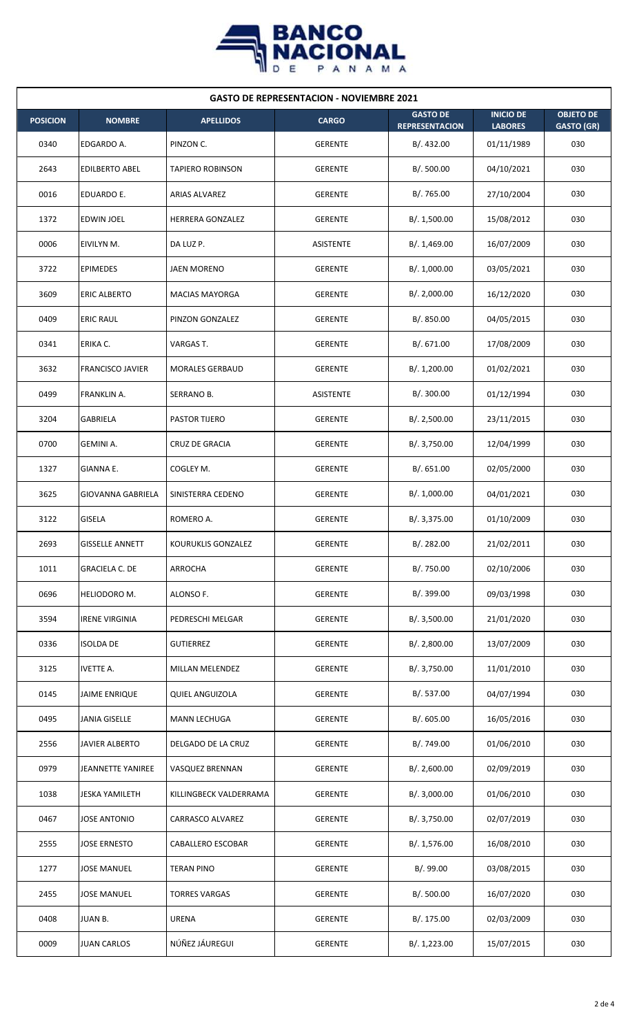

| <b>GASTO DE REPRESENTACION - NOVIEMBRE 2021</b> |                          |                         |                |                                          |                                    |                                       |  |  |
|-------------------------------------------------|--------------------------|-------------------------|----------------|------------------------------------------|------------------------------------|---------------------------------------|--|--|
| <b>POSICION</b>                                 | <b>NOMBRE</b>            | <b>APELLIDOS</b>        | <b>CARGO</b>   | <b>GASTO DE</b><br><b>REPRESENTACION</b> | <b>INICIO DE</b><br><b>LABORES</b> | <b>OBJETO DE</b><br><b>GASTO (GR)</b> |  |  |
| 0340                                            | EDGARDO A.               | PINZON C.               | <b>GERENTE</b> | B/. 432.00                               | 01/11/1989                         | 030                                   |  |  |
| 2643                                            | <b>EDILBERTO ABEL</b>    | <b>TAPIERO ROBINSON</b> | <b>GERENTE</b> | B/. 500.00                               | 04/10/2021                         | 030                                   |  |  |
| 0016                                            | EDUARDO E.               | ARIAS ALVAREZ           | <b>GERENTE</b> | B/. 765.00                               | 27/10/2004                         | 030                                   |  |  |
| 1372                                            | <b>EDWIN JOEL</b>        | HERRERA GONZALEZ        | <b>GERENTE</b> | B/. 1,500.00                             | 15/08/2012                         | 030                                   |  |  |
| 0006                                            | EIVILYN M.               | DA LUZ P.               | ASISTENTE      | B/.1,469.00                              | 16/07/2009                         | 030                                   |  |  |
| 3722                                            | <b>EPIMEDES</b>          | <b>JAEN MORENO</b>      | <b>GERENTE</b> | B/. 1,000.00                             | 03/05/2021                         | 030                                   |  |  |
| 3609                                            | <b>ERIC ALBERTO</b>      | <b>MACIAS MAYORGA</b>   | <b>GERENTE</b> | B/.2,000.00                              | 16/12/2020                         | 030                                   |  |  |
| 0409                                            | <b>ERIC RAUL</b>         | PINZON GONZALEZ         | <b>GERENTE</b> | B/. 850.00                               | 04/05/2015                         | 030                                   |  |  |
| 0341                                            | ERIKA C.                 | VARGAS T.               | <b>GERENTE</b> | B/. 671.00                               | 17/08/2009                         | 030                                   |  |  |
| 3632                                            | <b>FRANCISCO JAVIER</b>  | <b>MORALES GERBAUD</b>  | <b>GERENTE</b> | B/. 1,200.00                             | 01/02/2021                         | 030                                   |  |  |
| 0499                                            | FRANKLIN A.              | SERRANO B.              | ASISTENTE      | B/. 300.00                               | 01/12/1994                         | 030                                   |  |  |
| 3204                                            | <b>GABRIELA</b>          | <b>PASTOR TIJERO</b>    | <b>GERENTE</b> | B/.2,500.00                              | 23/11/2015                         | 030                                   |  |  |
| 0700                                            | GEMINI A.                | <b>CRUZ DE GRACIA</b>   | <b>GERENTE</b> | B/. 3,750.00                             | 12/04/1999                         | 030                                   |  |  |
| 1327                                            | GIANNA E.                | COGLEY M.               | GERENTE        | B/. 651.00                               | 02/05/2000                         | 030                                   |  |  |
| 3625                                            | <b>GIOVANNA GABRIELA</b> | SINISTERRA CEDENO       | GERENTE        | B/. 1,000.00                             | 04/01/2021                         | 030                                   |  |  |
| 3122                                            | <b>GISELA</b>            | ROMERO A.               | <b>GERENTE</b> | B/. 3,375.00                             | 01/10/2009                         | 030                                   |  |  |
| 2693                                            | <b>GISSELLE ANNETT</b>   | KOURUKLIS GONZALEZ      | <b>GERENTE</b> | B/. 282.00                               | 21/02/2011                         | 030                                   |  |  |
| 1011                                            | <b>GRACIELA C. DE</b>    | ARROCHA                 | <b>GERENTE</b> | B/. 750.00                               | 02/10/2006                         | 030                                   |  |  |
| 0696                                            | HELIODORO M.             | ALONSO F.               | <b>GERENTE</b> | B/. 399.00                               | 09/03/1998                         | 030                                   |  |  |
| 3594                                            | <b>IRENE VIRGINIA</b>    | PEDRESCHI MELGAR        | <b>GERENTE</b> | B/.3,500.00                              | 21/01/2020                         | 030                                   |  |  |
| 0336                                            | <b>ISOLDA DE</b>         | <b>GUTIERREZ</b>        | GERENTE        | B/. 2,800.00                             | 13/07/2009                         | 030                                   |  |  |
| 3125                                            | <b>IVETTE A.</b>         | MILLAN MELENDEZ         | GERENTE        | B/. 3,750.00                             | 11/01/2010                         | 030                                   |  |  |
| 0145                                            | <b>JAIME ENRIQUE</b>     | <b>QUIEL ANGUIZOLA</b>  | <b>GERENTE</b> | B/. 537.00                               | 04/07/1994                         | 030                                   |  |  |
| 0495                                            | <b>JANIA GISELLE</b>     | <b>MANN LECHUGA</b>     | <b>GERENTE</b> | B/0.605.00                               | 16/05/2016                         | 030                                   |  |  |
| 2556                                            | <b>JAVIER ALBERTO</b>    | DELGADO DE LA CRUZ      | <b>GERENTE</b> | B/. 749.00                               | 01/06/2010                         | 030                                   |  |  |
| 0979                                            | <b>JEANNETTE YANIREE</b> | VASQUEZ BRENNAN         | <b>GERENTE</b> | B/.2,600.00                              | 02/09/2019                         | 030                                   |  |  |
| 1038                                            | <b>JESKA YAMILETH</b>    | KILLINGBECK VALDERRAMA  | <b>GERENTE</b> | B/. 3,000.00                             | 01/06/2010                         | 030                                   |  |  |
| 0467                                            | <b>JOSE ANTONIO</b>      | CARRASCO ALVAREZ        | <b>GERENTE</b> | B/. 3,750.00                             | 02/07/2019                         | 030                                   |  |  |
| 2555                                            | <b>JOSE ERNESTO</b>      | CABALLERO ESCOBAR       | <b>GERENTE</b> | B/. 1,576.00                             | 16/08/2010                         | 030                                   |  |  |
| 1277                                            | <b>JOSE MANUEL</b>       | <b>TERAN PINO</b>       | <b>GERENTE</b> | B/.99.00                                 | 03/08/2015                         | 030                                   |  |  |
| 2455                                            | <b>JOSE MANUEL</b>       | <b>TORRES VARGAS</b>    | <b>GERENTE</b> | B/. 500.00                               | 16/07/2020                         | 030                                   |  |  |
| 0408                                            | JUAN B.                  | <b>URENA</b>            | <b>GERENTE</b> | B/. 175.00                               | 02/03/2009                         | 030                                   |  |  |
| 0009                                            | <b>JUAN CARLOS</b>       | NÚÑEZ JÁUREGUI          | <b>GERENTE</b> | B/. 1,223.00                             | 15/07/2015                         | 030                                   |  |  |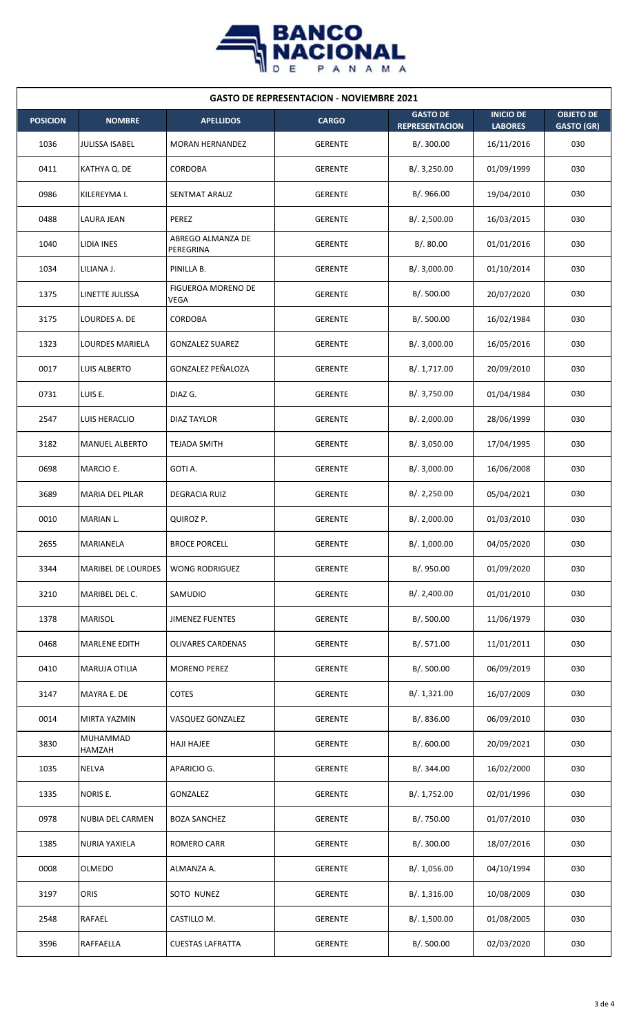

| <b>GASTO DE REPRESENTACION - NOVIEMBRE 2021</b> |                        |                                          |                |                                          |                                    |                                       |  |  |
|-------------------------------------------------|------------------------|------------------------------------------|----------------|------------------------------------------|------------------------------------|---------------------------------------|--|--|
| <b>POSICION</b>                                 | <b>NOMBRE</b>          | <b>APELLIDOS</b>                         | <b>CARGO</b>   | <b>GASTO DE</b><br><b>REPRESENTACION</b> | <b>INICIO DE</b><br><b>LABORES</b> | <b>OBJETO DE</b><br><b>GASTO (GR)</b> |  |  |
| 1036                                            | JULISSA ISABEL         | <b>MORAN HERNANDEZ</b>                   | <b>GERENTE</b> | B/. 300.00                               | 16/11/2016                         | 030                                   |  |  |
| 0411                                            | KATHYA Q. DE           | <b>CORDOBA</b>                           | <b>GERENTE</b> | B/. 3,250.00                             | 01/09/1999                         | 030                                   |  |  |
| 0986                                            | KILEREYMA I.           | <b>SENTMAT ARAUZ</b>                     | <b>GERENTE</b> | B/. 966.00                               | 19/04/2010                         | 030                                   |  |  |
| 0488                                            | LAURA JEAN             | PEREZ                                    | <b>GERENTE</b> | B/.2,500.00                              | 16/03/2015                         | 030                                   |  |  |
| 1040                                            | LIDIA INES             | ABREGO ALMANZA DE<br>PEREGRINA           | GERENTE        | B/.80.00                                 | 01/01/2016                         | 030                                   |  |  |
| 1034                                            | LILIANA J.             | PINILLA B.                               | GERENTE        | B/.3,000.00                              | 01/10/2014                         | 030                                   |  |  |
| 1375                                            | LINETTE JULISSA        | <b>FIGUEROA MORENO DE</b><br><b>VEGA</b> | <b>GERENTE</b> | B/. 500.00                               | 20/07/2020                         | 030                                   |  |  |
| 3175                                            | LOURDES A. DE          | CORDOBA                                  | <b>GERENTE</b> | B/. 500.00                               | 16/02/1984                         | 030                                   |  |  |
| 1323                                            | <b>LOURDES MARIELA</b> | <b>GONZALEZ SUAREZ</b>                   | <b>GERENTE</b> | B/. 3,000.00                             | 16/05/2016                         | 030                                   |  |  |
| 0017                                            | LUIS ALBERTO           | <b>GONZALEZ PEÑALOZA</b>                 | <b>GERENTE</b> | B/. 1,717.00                             | 20/09/2010                         | 030                                   |  |  |
| 0731                                            | LUIS E.                | DIAZ G.                                  | <b>GERENTE</b> | B/. 3,750.00                             | 01/04/1984                         | 030                                   |  |  |
| 2547                                            | LUIS HERACLIO          | <b>DIAZ TAYLOR</b>                       | <b>GERENTE</b> | B/.2,000.00                              | 28/06/1999                         | 030                                   |  |  |
| 3182                                            | <b>MANUEL ALBERTO</b>  | <b>TEJADA SMITH</b>                      | <b>GERENTE</b> | B/. 3,050.00                             | 17/04/1995                         | 030                                   |  |  |
| 0698                                            | MARCIO E.              | GOTI A.                                  | <b>GERENTE</b> | B/. 3,000.00                             | 16/06/2008                         | 030                                   |  |  |
| 3689                                            | <b>MARIA DEL PILAR</b> | <b>DEGRACIA RUIZ</b>                     | <b>GERENTE</b> | B/. 2,250.00                             | 05/04/2021                         | 030                                   |  |  |
| 0010                                            | MARIAN L.              | QUIROZ P.                                | <b>GERENTE</b> | B/.2,000.00                              | 01/03/2010                         | 030                                   |  |  |
| 2655                                            | MARIANELA              | <b>BROCE PORCELL</b>                     | <b>GERENTE</b> | B/. 1,000.00                             | 04/05/2020                         | 030                                   |  |  |
| 3344                                            | MARIBEL DE LOURDES     | WONG RODRIGUEZ                           | <b>GERENTE</b> | B/. 950.00                               | 01/09/2020                         | 030                                   |  |  |
| 3210                                            | MARIBEL DEL C.         | SAMUDIO                                  | <b>GERENTE</b> | B/. 2,400.00                             | 01/01/2010                         | 030                                   |  |  |
| 1378                                            | <b>MARISOL</b>         | <b>JIMENEZ FUENTES</b>                   | <b>GERENTE</b> | B/. 500.00                               | 11/06/1979                         | 030                                   |  |  |
| 0468                                            | <b>MARLENE EDITH</b>   | <b>OLIVARES CARDENAS</b>                 | GERENTE        | B/. 571.00                               | 11/01/2011                         | 030                                   |  |  |
| 0410                                            | <b>MARUJA OTILIA</b>   | <b>MORENO PEREZ</b>                      | GERENTE        | B/.500.00                                | 06/09/2019                         | 030                                   |  |  |
| 3147                                            | MAYRA E. DE            | <b>COTES</b>                             | <b>GERENTE</b> | B/. 1,321.00                             | 16/07/2009                         | 030                                   |  |  |
| 0014                                            | MIRTA YAZMIN           | VASQUEZ GONZALEZ                         | <b>GERENTE</b> | B/. 836.00                               | 06/09/2010                         | 030                                   |  |  |
| 3830                                            | MUHAMMAD<br>HAMZAH     | <b>HAJI HAJEE</b>                        | <b>GERENTE</b> | B/. 600.00                               | 20/09/2021                         | 030                                   |  |  |
| 1035                                            | <b>NELVA</b>           | APARICIO G.                              | <b>GERENTE</b> | B/. 344.00                               | 16/02/2000                         | 030                                   |  |  |
| 1335                                            | NORIS E.               | GONZALEZ                                 | <b>GERENTE</b> | B/. 1,752.00                             | 02/01/1996                         | 030                                   |  |  |
| 0978                                            | NUBIA DEL CARMEN       | <b>BOZA SANCHEZ</b>                      | <b>GERENTE</b> | B/. 750.00                               | 01/07/2010                         | 030                                   |  |  |
| 1385                                            | <b>NURIA YAXIELA</b>   | ROMERO CARR                              | <b>GERENTE</b> | B/. 300.00                               | 18/07/2016                         | 030                                   |  |  |
| 0008                                            | <b>OLMEDO</b>          | ALMANZA A.                               | <b>GERENTE</b> | B/. 1,056.00                             | 04/10/1994                         | 030                                   |  |  |
| 3197                                            | <b>ORIS</b>            | SOTO NUNEZ                               | <b>GERENTE</b> | B/. 1,316.00                             | 10/08/2009                         | 030                                   |  |  |
| 2548                                            | RAFAEL                 | CASTILLO M.                              | <b>GERENTE</b> | B/. 1,500.00                             | 01/08/2005                         | 030                                   |  |  |
| 3596                                            | <b>RAFFAELLA</b>       | <b>CUESTAS LAFRATTA</b>                  | <b>GERENTE</b> | B/. 500.00                               | 02/03/2020                         | 030                                   |  |  |